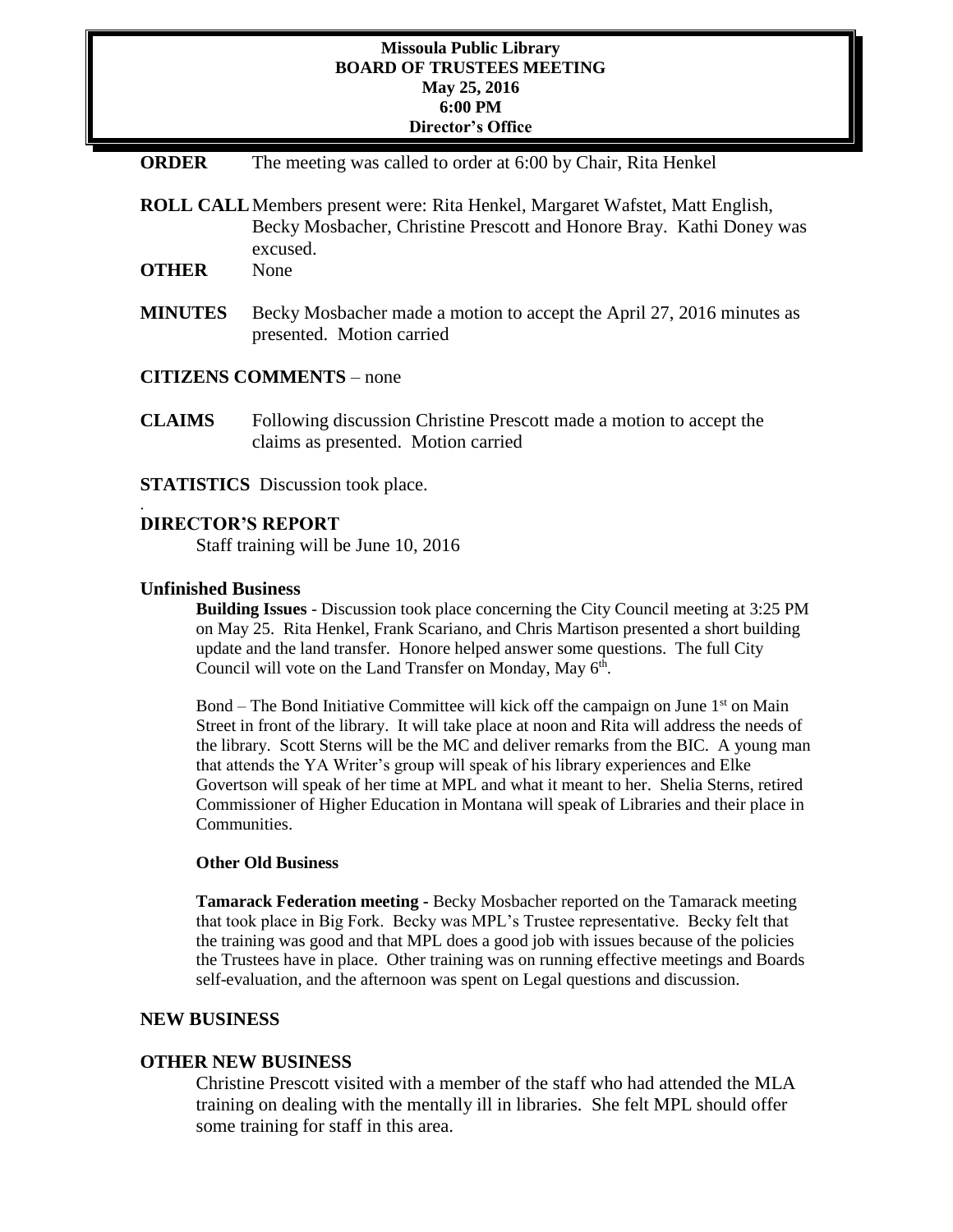## **Missoula Public Library BOARD OF TRUSTEES MEETING May 25, 2016 6:00 PM Director's Office**

- **ORDER** The meeting was called to order at 6:00 by Chair, Rita Henkel
- **ROLL CALL**Members present were: Rita Henkel, Margaret Wafstet, Matt English, Becky Mosbacher, Christine Prescott and Honore Bray. Kathi Doney was excused.
- **OTHER** None
- **MINUTES** Becky Mosbacher made a motion to accept the April 27, 2016 minutes as presented. Motion carried
- **CITIZENS COMMENTS**  none
- **CLAIMS** Following discussion Christine Prescott made a motion to accept the claims as presented. Motion carried
- **STATISTICS** Discussion took place.

## **DIRECTOR'S REPORT**

Staff training will be June 10, 2016

## **Unfinished Business**

.

**Building Issues** - Discussion took place concerning the City Council meeting at 3:25 PM on May 25. Rita Henkel, Frank Scariano, and Chris Martison presented a short building update and the land transfer. Honore helped answer some questions. The full City Council will vote on the Land Transfer on Monday, May 6<sup>th</sup>.

Bond – The Bond Initiative Committee will kick off the campaign on June  $1<sup>st</sup>$  on Main Street in front of the library. It will take place at noon and Rita will address the needs of the library. Scott Sterns will be the MC and deliver remarks from the BIC. A young man that attends the YA Writer's group will speak of his library experiences and Elke Govertson will speak of her time at MPL and what it meant to her. Shelia Sterns, retired Commissioner of Higher Education in Montana will speak of Libraries and their place in Communities.

## **Other Old Business**

**Tamarack Federation meeting -** Becky Mosbacher reported on the Tamarack meeting that took place in Big Fork. Becky was MPL's Trustee representative. Becky felt that the training was good and that MPL does a good job with issues because of the policies the Trustees have in place. Other training was on running effective meetings and Boards self-evaluation, and the afternoon was spent on Legal questions and discussion.

#### **NEW BUSINESS**

#### **OTHER NEW BUSINESS**

Christine Prescott visited with a member of the staff who had attended the MLA training on dealing with the mentally ill in libraries. She felt MPL should offer some training for staff in this area.